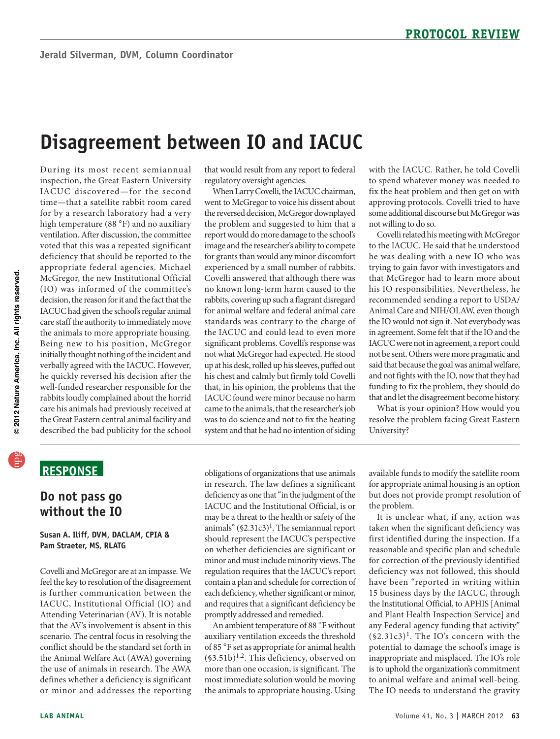# **Disagreement between Io and IACUC**

 IACUC discovered—for the second high temperature (88 °F) and no auxiliary ventilation. After discussion, the committee voted that this was a repeated significant IACUC had given the school's regular animal the animals to more appropriate housing. Being new to his position, McGregor During its most recent semiannual inspection, the Great Eastern University time—that a satellite rabbit room cared for by a research laboratory had a very deficiency that should be reported to the appropriate federal agencies. Michael McGregor, the new Institutional Official (IO) was informed of the committee's decision, the reason for it and the fact that the care staff the authority to immediately move initially thought nothing of the incident and verbally agreed with the IACUC. However, he quickly reversed his decision after the well-funded researcher responsible for the rabbits loudly complained about the horrid care his animals had previously received at the Great Eastern central animal facility and described the bad publicity for the school

that would result from any report to federal regulatory oversight agencies.

 When Larry Covelli, the IACUC chairman, went to McGregor to voice his dissent about the reversed decision, McGregor downplayed rabbits, covering up such a flagrant disregard system and that he had no intention of siding the problem and suggested to him that a report would do more damage to the school's image and the researcher's ability to compete for grants than would any minor discomfort experienced by a small number of rabbits. Covelli answered that although there was no known long-term harm caused to the for animal welfare and federal animal care standards was contrary to the charge of the IACUC and could lead to even more significant problems. Covelli's response was not what McGregor had expected. He stood up at his desk, rolled up his sleeves, puffed out his chest and calmly but firmly told Covelli that, in his opinion, the problems that the IACUC found were minor because no harm came to the animals, that the researcher's job was to do science and not to fix the heating

with the IACUC. Rather, he told Covelli to spend whatever money was needed to fix the heat problem and then get on with approving protocols. Covelli tried to have some additional discourse but McGregor was not willing to do so.

Covelli related his meeting with McGregor to the IACUC. He said that he understood he was dealing with a new IO who was trying to gain favor with investigators and that McGregor had to learn more about his IO responsibilities. Nevertheless, he recommended sending a report to USDA/ Animal Care and NIH/OLAW, even though the IO would not sign it. Not everybody was in agreement. Some felt that if the IO and the IACUC were not in agreement, a report could not be sent. Others were more pragmatic and said that because the goal was animal welfare, and not fights with the IO, now that they had funding to fix the problem, they should do that and let the disagreement become history.

What is your opinion? How would you resolve the problem facing Great Eastern University?

## **ReSponSe**

#### **Do not pass go without the Io**

**Susan A. Iliff, DVM, DACLAM, CpIA & pam Straeter, MS, RLATG** 

 scenario. The central focus in resolving the defines whether a deficiency is significant Covelli and McGregor are at an impasse. We feel the key to resolution of the disagreement is further communication between the IACUC, Institutional Official (IO) and Attending Veterinarian (AV). It is notable that the AV's involvement is absent in this conflict should be the standard set forth in the Animal Welfare Act (AWA) governing the use of animals in research. The AWA or minor and addresses the reporting

 contain a plan and schedule for correction of and requires that a significant deficiency be obligations of organizations that use animals in research. The law defines a significant deficiency as one that "in the judgment of the IACUC and the Institutional Official, is or may be a threat to the health or safety of the animals"  $(§2.31c3)<sup>1</sup>$ . The semiannual report should represent the IACUC's perspective on whether deficiencies are significant or minor and must include minority views. The regulation requires that the IACUC's report each deficiency, whether significant or minor, promptly addressed and remedied.

An ambient temperature of 88 °F without auxiliary ventilation exceeds the threshold of 85 °F set as appropriate for animal health  $(\$3.51b)^{1,2}$ . This deficiency, observed on more than one occasion, is significant. The most immediate solution would be moving the animals to appropriate housing. Using available funds to modify the satellite room for appropriate animal housing is an option but does not provide prompt resolution of the problem.

 any Federal agency funding that activity" potential to damage the school's image is The IO needs to understand the gravity It is unclear what, if any, action was taken when the significant deficiency was first identified during the inspection. If a reasonable and specific plan and schedule for correction of the previously identified deficiency was not followed, this should have been "reported in writing within 15 business days by the IACUC, through the Institutional Official, to APHIS [Animal and Plant Health Inspection Service] and  $(\$2.31c3)^1$ . The IO's concern with the inappropriate and misplaced. The IO's role is to uphold the organization's commitment to animal welfare and animal well-being.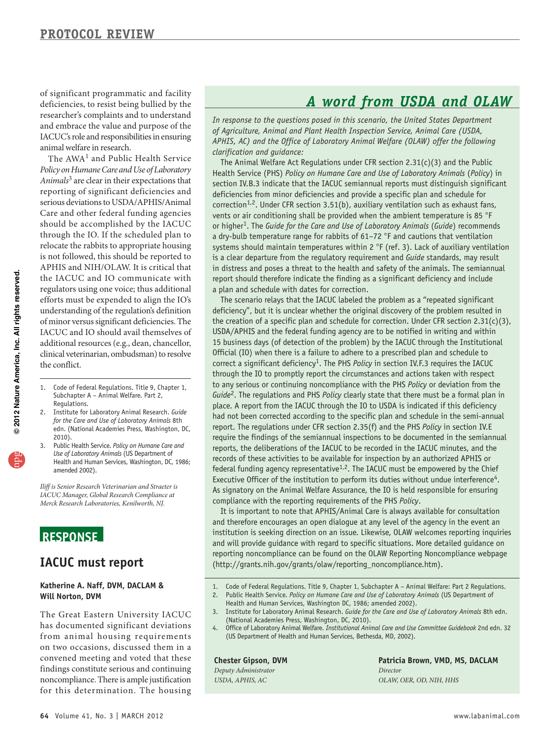of significant programmatic and facility IACUC's role and responsibilities in ensuring deficiencies, to resist being bullied by the researcher's complaints and to understand and embrace the value and purpose of the animal welfare in research.

 should be accomplished by the IACUC relocate the rabbits to appropriate housing additional resources (e.g., dean, chancellor, The AWA<sup>1</sup> and Public Health Service *Policy on Humane Care and Use of Laboratory Animals*3 are clear in their expectations that reporting of significant deficiencies and serious deviations to USDA/APHIS/Animal Care and other federal funding agencies through the IO. If the scheduled plan to is not followed, this should be reported to APHIS and NIH/OLAW. It is critical that the IACUC and IO communicate with regulators using one voice; thus additional efforts must be expended to align the IO's understanding of the regulation's definition of minor versus significant deficiencies. The IACUC and IO should avail themselves of clinical veterinarian, ombudsman) to resolve the conflict.

- 1. Code of Federal Regulations. Title 9, Chapter 1, Subchapter A – Animal Welfare. Part 2, Regulations.
- 2. Institute for Laboratory Animal Research. *Guide for the Care and Use of Laboratory Animals* 8th edn. (National Academies Press, Washington, DC, 2010).
- 3. Public Health Service. *Policy on Humane Care and Use of Laboratory Animals* (US Department of Health and Human Services, Washington, DC, 1986; amended 2002).

*Iliff is Senior Research Veterinarian and Straeter is IACUC Manager, Global Research Compliance at Merck Research Laboratories, Kenilworth, NJ.* 

### **ReSponSe**

#### **IACUC must report**

#### **Katherine A. naff, DVM, DACLAM & Will norton, DVM**

 findings constitute serious and continuing noncompliance. There is ample justification The Great Eastern University IACUC has documented significant deviations from animal housing requirements on two occasions, discussed them in a convened meeting and voted that these for this determination. The housing

## *A word from USDA and OLAW*

*In response to the questions posed in this scenario, the United States Department of Agriculture, Animal and Plant Health Inspection Service, Animal Care (USDA, APHIS, AC) and the Office of Laboratory Animal Welfare (OLAW) offer the following clarification and guidance:* 

The Animal Welfare Act Regulations under CFR section 2.31(c)(3) and the Public Health Service (PHS) *Policy on Humane Care and Use of Laboratory Animals* (*Policy*) in section IV.B.3 indicate that the IACUC semiannual reports must distinguish significant deficiencies from minor deficiencies and provide a specific plan and schedule for correction<sup>1,2</sup>. Under CFR section 3.51(b), auxiliary ventilation such as exhaust fans, vents or air conditioning shall be provided when the ambient temperature is 85 °F or higher1. The *Guide for the Care and Use of Laboratory Animals* (*Guide*) recommends a dry-bulb temperature range for rabbits of 61-72 °F and cautions that ventilation systems should maintain temperatures within 2 °F (ref. 3). Lack of auxiliary ventilation is a clear departure from the regulatory requirement and *Guide* standards, may result in distress and poses a threat to the health and safety of the animals. The semiannual report should therefore indicate the finding as a significant deficiency and include a plan and schedule with dates for correction.

The scenario relays that the IACUC labeled the problem as a "repeated significant deficiency", but it is unclear whether the original discovery of the problem resulted in the creation of a specific plan and schedule for correction. Under CFR section 2.31(c)(3), USDA/APHIS and the federal funding agency are to be notified in writing and within 15 business days (of detection of the problem) by the IACUC through the Institutional Official (IO) when there is a failure to adhere to a prescribed plan and schedule to correct a significant deficiency<sup>1</sup>. The PHS *Policy* in section IV.F.3 requires the IACUC through the IO to promptly report the circumstances and actions taken with respect to any serious or continuing noncompliance with the PHS *Policy* or deviation from the *Guide*2. The regulations and PHS *Policy* clearly state that there must be a formal plan in place. A report from the IACUC through the IO to USDA is indicated if this deficiency had not been corrected according to the specific plan and schedule in the semi-annual report. The regulations under CFR section 2.35(f) and the PHS *Policy* in section IV.E require the findings of the semiannual inspections to be documented in the semiannual reports, the deliberations of the IACUC to be recorded in the IACUC minutes, and the records of these activities to be available for inspection by an authorized APHIS or federal funding agency representative<sup>1,2</sup>. The IACUC must be empowered by the Chief Executive Officer of the institution to perform its duties without undue interference<sup>4</sup>. As signatory on the Animal Welfare Assurance, the IO is held responsible for ensuring compliance with the reporting requirements of the PHS *Policy*.

It is important to note that APHIS/Animal Care is always available for consultation and therefore encourages an open dialogue at any level of the agency in the event an institution is seeking direction on an issue. Likewise, OLAW welcomes reporting inquiries and will provide guidance with regard to specific situations. More detailed guidance on reporting noncompliance can be found on the OLAW Reporting Noncompliance webpage (http://grants.nih.gov/grants/olaw/reporting\_noncompliance.htm).

- 1. Code of Federal Regulations. Title 9, Chapter 1, Subchapter A Animal Welfare: Part 2 Regulations.
- 2. Public Health Service. *Policy on Humane Care and Use of Laboratory Animals* (US Department of Health and Human Services, Washington DC, 1986; amended 2002).
- 3. Institute for Laboratory Animal Research. *Guide for the Care and Use of Laboratory Animals* 8th edn. (National Academies Press, Washington, DC, 2010).
- 4. Office of Laboratory Animal Welfare. *Institutional Animal Care and Use Committee Guidebook* 2nd edn. 32 (US Department of Health and Human Services, Bethesda, MD, 2002).

*Deputy Administrator Director* 

**Chester Gipson, DVM patricia Brown, VMD, MS, DACLAM**  *USDA, APHIS, AC OLAW, OER, OD, NIH, HHS* 

npg **© 2012 Nature America, Inc. All rights reserved.**

© 2012 Nature America, Inc. All rights reserved.